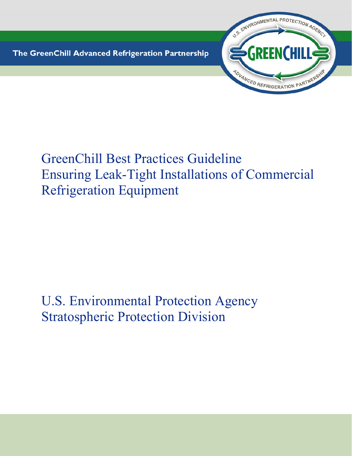The GreenChill Advanced Refrigeration Partnership



# GreenChill Best Practices Guideline Ensuring Leak-Tight Installations of Commercial Refrigeration Equipment

# U.S. Environmental Protection Agency Stratospheric Protection Division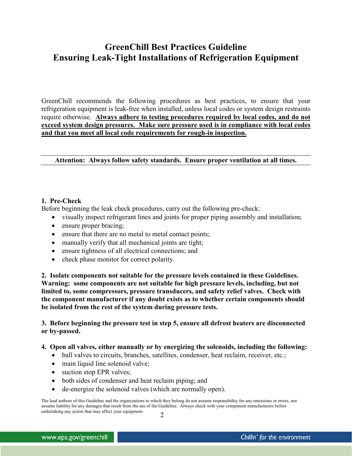# **GreenChill Best Practices Guideline Ensuring Leak-Tight Installations of Refrigeration Equipment**

GreenChill recommends the following procedures as best practices, to ensure that your refrigeration equipment is leak-free when installed, unless local codes or system design restraints require otherwise. **Always adhere to testing procedures required by local codes, and do not exceed system design pressures. Make sure pressure used is in compliance with local codes and that you meet all local code requirements for rough-in inspection.** 

**Attention: Always follow safety standards. Ensure proper ventilation at all times.** 

#### **1. Pre-Check**

Before beginning the leak check procedures, carry out the following pre-check:

- visually inspect refrigerant lines and joints for proper piping assembly and installation;
- ensure proper bracing;
- ensure that there are no metal to metal contact points;
- manually verify that all mechanical joints are tight;
- ensure tightness of all electrical connections; and
- check phase monitor for correct polarity.

**2. Isolate components not suitable for the pressure levels contained in these Guidelines. Warning: some components are not suitable for high pressure levels, including, but not limited to, some compressors, pressure transducers, and safety relief valves. Check with the component manufacturer if any doubt exists as to whether certain components should be isolated from the rest of the system during pressure tests.** 

**3. Before beginning the pressure test in step 5, ensure all defrost heaters are disconnected or by-passed.** 

#### **4. Open all valves, either manually or by energizing the solenoids, including the following:**

- ball valves to circuits, branches, satellites, condenser, heat reclaim, receiver, etc.;
- main liquid line solenoid valve;
- suction stop EPR valves;
- both sides of condenser and heat reclaim piping; and
- de-energize the solenoid valves (which are normally open).

2 The lead authors of this Guideline and the organizations to which they belong do not assume responsibility for any omissions or errors, nor assume liability for any damages that result from the use of the Guideline. Always check with your component manufacturers before undertaking any action that may affect your equipment.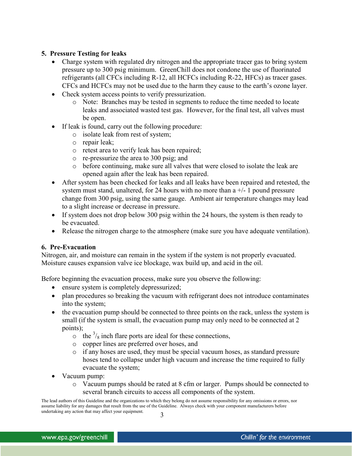### **5. Pressure Testing for leaks**

- Charge system with regulated dry nitrogen and the appropriate tracer gas to bring system pressure up to 300 psig minimum. GreenChill does not condone the use of fluorinated refrigerants (all CFCs including R-12, all HCFCs including R-22, HFCs) as tracer gases. CFCs and HCFCs may not be used due to the harm they cause to the earth's ozone layer.
- Check system access points to verify pressurization.
	- o Note: Branches may be tested in segments to reduce the time needed to locate leaks and associated wasted test gas. However, for the final test, all valves must be open.
- If leak is found, carry out the following procedure:
	- o isolate leak from rest of system;
	- o repair leak;
	- o retest area to verify leak has been repaired;
	- o re-pressurize the area to 300 psig; and
	- o before continuing, make sure all valves that were closed to isolate the leak are opened again after the leak has been repaired.
- After system has been checked for leaks and all leaks have been repaired and retested, the system must stand, unaltered, for 24 hours with no more than  $a +/1$  pound pressure change from 300 psig, using the same gauge. Ambient air temperature changes may lead to a slight increase or decrease in pressure.
- If system does not drop below 300 psig within the 24 hours, the system is then ready to be evacuated.
- Release the nitrogen charge to the atmosphere (make sure you have adequate ventilation).

#### **6. Pre-Evacuation**

Nitrogen, air, and moisture can remain in the system if the system is not properly evacuated. Moisture causes expansion valve ice blockage, wax build up, and acid in the oil.

Before beginning the evacuation process, make sure you observe the following:

- ensure system is completely depressurized;
- plan procedures so breaking the vacuum with refrigerant does not introduce contaminates into the system;
- the evacuation pump should be connected to three points on the rack, unless the system is small (if the system is small, the evacuation pump may only need to be connected at 2 points);
	- $\circ$  the  $\frac{3}{8}$  inch flare ports are ideal for these connections,
	- o copper lines are preferred over hoses, and
	- o if any hoses are used, they must be special vacuum hoses, as standard pressure hoses tend to collapse under high vacuum and increase the time required to fully evacuate the system;
- Vacuum pump:
	- o Vacuum pumps should be rated at 8 cfm or larger. Pumps should be connected to several branch circuits to access all components of the system.

<sup>3</sup> The lead authors of this Guideline and the organizations to which they belong do not assume responsibility for any omissions or errors, nor assume liability for any damages that result from the use of the Guideline. Always check with your component manufacturers before undertaking any action that may affect your equipment.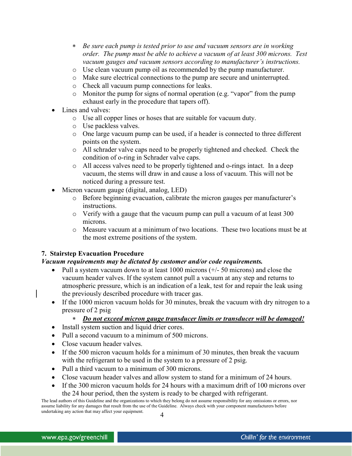- ∗ *Be sure each pump is tested prior to use and vacuum sensors are in working order. The pump must be able to achieve a vacuum of at least 300 microns. Test vacuum gauges and vacuum sensors according to manufacturer's instructions.*
- o Use clean vacuum pump oil as recommended by the pump manufacturer.
- o Make sure electrical connections to the pump are secure and uninterrupted.
- o Check all vacuum pump connections for leaks.
- o Monitor the pump for signs of normal operation (e.g. "vapor" from the pump exhaust early in the procedure that tapers off).
- Lines and valves:
	- o Use all copper lines or hoses that are suitable for vacuum duty.
	- o Use packless valves.
	- o One large vacuum pump can be used, if a header is connected to three different points on the system.
	- o All schrader valve caps need to be properly tightened and checked. Check the condition of o-ring in Schrader valve caps.
	- o All access valves need to be properly tightened and o-rings intact. In a deep vacuum, the stems will draw in and cause a loss of vacuum. This will not be noticed during a pressure test.
- Micron vacuum gauge (digital, analog, LED)
	- o Before beginning evacuation, calibrate the micron gauges per manufacturer's instructions.
	- $\circ$  Verify with a gauge that the vacuum pump can pull a vacuum of at least 300 microns.
	- o Measure vacuum at a minimum of two locations. These two locations must be at the most extreme positions of the system.

## **7. Stairstep Evacuation Procedure**

#### *Vacuum requirements may be dictated by customer and/or code requirements.*

- Pull a system vacuum down to at least  $1000$  microns  $(+/- 50$  microns) and close the vacuum header valves. If the system cannot pull a vacuum at any step and returns to atmospheric pressure, which is an indication of a leak, test for and repair the leak using the previously described procedure with tracer gas.
- If the 1000 micron vacuum holds for 30 minutes, break the vacuum with dry nitrogen to a pressure of 2 psig

#### ∗ *Do not exceed micron gauge transducer limits or transducer will be damaged!*

- Install system suction and liquid drier cores.
- Pull a second vacuum to a minimum of 500 microns.
- Close vacuum header valves.
- If the 500 micron vacuum holds for a minimum of 30 minutes, then break the vacuum with the refrigerant to be used in the system to a pressure of 2 psig.
- Pull a third vacuum to a minimum of 300 microns.
- Close vacuum header valves and allow system to stand for a minimum of 24 hours.
- If the 300 micron vacuum holds for 24 hours with a maximum drift of 100 microns over the 24 hour period, then the system is ready to be charged with refrigerant.

<sup>4</sup> The lead authors of this Guideline and the organizations to which they belong do not assume responsibility for any omissions or errors, nor assume liability for any damages that result from the use of the Guideline. Always check with your component manufacturers before undertaking any action that may affect your equipment.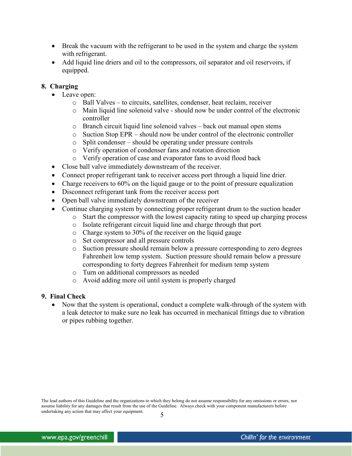- Break the vacuum with the refrigerant to be used in the system and charge the system with refrigerant.
- Add liquid line driers and oil to the compressors, oil separator and oil reservoirs, if equipped.

### **8. Charging**

- Leave open:
	- o Ball Valves to circuits, satellites, condenser, heat reclaim, receiver
	- $\circ$  Main liquid line solenoid valve should now be under control of the electronic controller
	- o Branch circuit liquid line solenoid valves back out manual open stems
	- $\circ$  Suction Stop EPR should now be under control of the electronic controller
	- o Split condenser should be operating under pressure controls
	- o Verify operation of condenser fans and rotation direction
	- o Verify operation of case and evaporator fans to avoid flood back
- Close ball valve immediately downstream of the receiver.
- Connect proper refrigerant tank to receiver access port through a liquid line drier.
- Charge receivers to 60% on the liquid gauge or to the point of pressure equalization
- Disconnect refrigerant tank from the receiver access port
- Open ball valve immediately downstream of the receiver
- Continue charging system by connecting proper refrigerant drum to the suction header
	- o Start the compressor with the lowest capacity rating to speed up charging process
	- o Isolate refrigerant circuit liquid line and charge through that port
	- o Charge system to 30% of the receiver on the liquid gauge
	- o Set compressor and all pressure controls
	- o Suction pressure should remain below a pressure corresponding to zero degrees Fahrenheit low temp system. Suction pressure should remain below a pressure corresponding to forty degrees Fahrenheit for medium temp system
	- o Turn on additional compressors as needed
	- o Avoid adding more oil until system is properly charged

#### **9. Final Check**

• Now that the system is operational, conduct a complete walk-through of the system with a leak detector to make sure no leak has occurred in mechanical fittings due to vibration or pipes rubbing together.

The lead authors of this Guideline and the organizations to which they belong do not assume responsibility for any omissions or errors, nor assume liability for any damages that result from the use of the Guideline. Always check with your component manufacturers before undertaking any action that may affect your equipment. 5